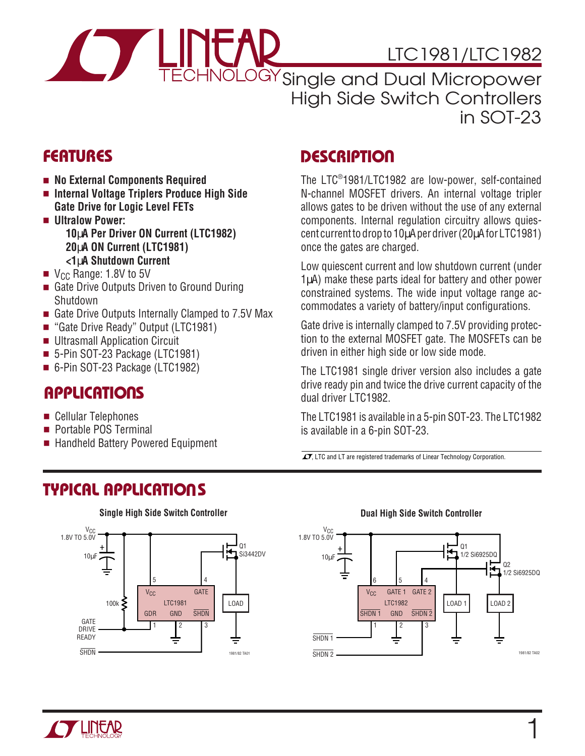

# LTC1981/LTC1982

CHNOLOGY Single and Dual Micropower High Side Switch Controllers in SOT-23

- **No External Components Required**
- **Internal Voltage Triplers Produce High Side Gate Drive for Logic Level FETs**
- **Ultralow Power: 10**µ**A Per Driver ON Current (LTC1982) 20**µ**A ON Current (LTC1981) <1**µ**A Shutdown Current**
- $\blacksquare$  V<sub>CC</sub> Range: 1.8V to 5V
- Gate Drive Outputs Driven to Ground During **Shutdown**
- Gate Drive Outputs Internally Clamped to 7.5V Max
- "Gate Drive Ready" Output (LTC1981)
- Ultrasmall Application Circuit
- 5-Pin SOT-23 Package (LTC1981)
- 6-Pin SOT-23 Package (LTC1982)

### **APPLICATIONS**

- Cellular Telephones
- Portable POS Terminal
- Handheld Battery Powered Equipment

# **DESCRIPTIO U FEATURES**

The LTC® 1981/LTC1982 are low-power, self-contained N-channel MOSFET drivers. An internal voltage tripler allows gates to be driven without the use of any external components. Internal regulation circuitry allows quiescent current to drop to 10µA per driver (20µA for LTC1981) once the gates are charged.

Low quiescent current and low shutdown current (under 1µA) make these parts ideal for battery and other power constrained systems. The wide input voltage range accommodates a variety of battery/input configurations.

Gate drive is internally clamped to 7.5V providing protection to the external MOSFET gate. The MOSFETs can be driven in either high side or low side mode.

The LTC1981 single driver version also includes a gate drive ready pin and twice the drive current capacity of the dual driver LTC1982.

The LTC1981 is available in a 5-pin SOT-23. The LTC1982 is available in a 6-pin SOT-23.

 $\sqrt{J}$ , LTC and LT are registered trademarks of Linear Technology Corporation.

## **TYPICAL APPLICATIONS U**



#### **Single High Side Switch Controller Dual High Side Switch Controller**



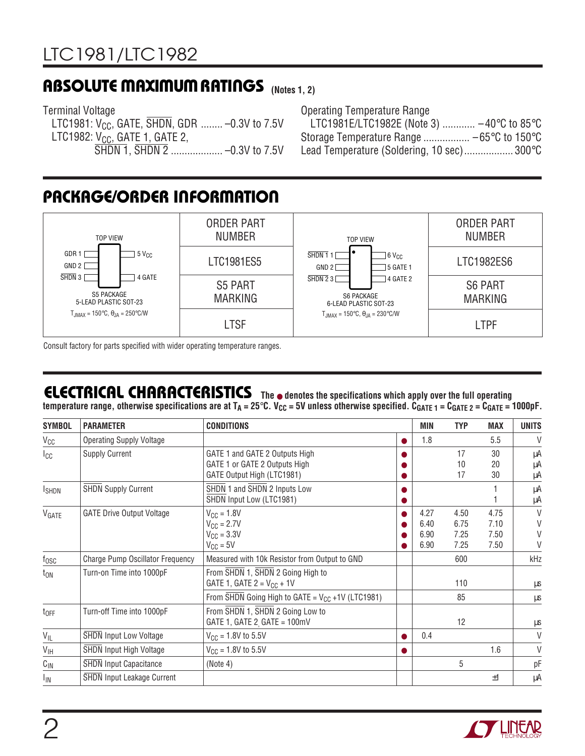### **ABSOLUTE MAXIMUM RATINGS** (Notes 1, 2)

Terminal Voltage LTC1981:  $V_{CC}$ , GATE,  $\overline{SHDN}$ , GDR ........ -0.3V to 7.5V LTC1982:  $V_{CC}$ , GATE 1, GATE 2, SHDN 1, SHDN 2 ................... –0.3V to 7.5V

Operating Temperature Range LTC1981E/LTC1982E (Note 3) ............ –40°C to 85°C Storage Temperature Range ................. –65°C to 150°C Lead Temperature (Soldering, 10 sec).................. 300°C

# **PACKAGE/ORDER INFORMATION**



Consult factory for parts specified with wider operating temperature ranges.

# **ELECTRICAL CHARACTERISTICS The** ● **denotes the specifications which apply over the full operating**

temperature range, otherwise specifications are at T<sub>A</sub> = 25°C. V<sub>CC</sub> = 5V unless otherwise specified. C<sub>GATE 1</sub> = C<sub>GATE 2</sub> = C<sub>GATE</sub> = 1000pF.

| <b>SYMBOL</b>   | <b>PARAMETER</b>                        | <b>CONDITIONS</b>                                                                             |           | MIN                          | <b>TYP</b>                   | <b>MAX</b>                   | <b>UNITS</b>     |
|-----------------|-----------------------------------------|-----------------------------------------------------------------------------------------------|-----------|------------------------------|------------------------------|------------------------------|------------------|
| $V_{CC}$        | <b>Operating Supply Voltage</b>         |                                                                                               | $\bullet$ | 1.8                          |                              | 5.5                          | V                |
| Icc             | <b>Supply Current</b>                   | GATE 1 and GATE 2 Outputs High<br>GATE 1 or GATE 2 Outputs High<br>GATE Output High (LTC1981) | ●         |                              | 17<br>10<br>17               | 30<br>20<br>30               | μA<br>μA<br>μA   |
| <b>I</b> SHDN   | <b>SHDN Supply Current</b>              | SHDN 1 and SHDN 2 Inputs Low<br>SHDN Input Low (LTC1981)                                      |           |                              |                              |                              | μA<br>μA         |
| VGATE           | <b>GATE Drive Output Voltage</b>        | $V_{CC} = 1.8V$<br>$V_{CC} = 2.7V$<br>$V_{CC} = 3.3V$<br>$V_{CC} = 5V$                        |           | 4.27<br>6.40<br>6.90<br>6.90 | 4.50<br>6.75<br>7.25<br>7.25 | 4.75<br>7.10<br>7.50<br>7.50 | V<br>V<br>V<br>V |
| $f_{\rm OSC}$   | <b>Charge Pump Oscillator Frequency</b> | Measured with 10k Resistor from Output to GND                                                 |           |                              | 600                          |                              | kHz              |
| $t_{ON}$        | Turn-on Time into 1000pF                | From SHDN 1, SHDN 2 Going High to<br>GATE 1, GATE $2 = V_{CC} + 1V$                           |           |                              | 110                          |                              | μs               |
|                 |                                         | From $\overline{\text{SHDN}}$ Going High to GATE = $V_{CC}$ +1V (LTC1981)                     |           |                              | 85                           |                              | μS               |
| $t_{OFF}$       | Turn-off Time into 1000pF               | From SHDN 1, SHDN 2 Going Low to<br>GATE 1, GATE 2 GATE = $100mV$                             |           |                              | 12                           |                              | $\mu$ s          |
| $V_{ L}$        | <b>SHDN Input Low Voltage</b>           | $V_{CC} = 1.8V$ to 5.5V                                                                       |           | 0.4                          |                              |                              | V                |
| $V_{\text{IH}}$ | <b>SHDN Input High Voltage</b>          | $V_{CC}$ = 1.8V to 5.5V                                                                       |           |                              |                              | 1.6                          | V                |
| $C_{\text{IN}}$ | <b>SHDN Input Capacitance</b>           | (Note 4)                                                                                      |           |                              | 5                            |                              | рF               |
| IIN             | <b>SHDN Input Leakage Current</b>       |                                                                                               |           |                              |                              | ±1                           | μA               |

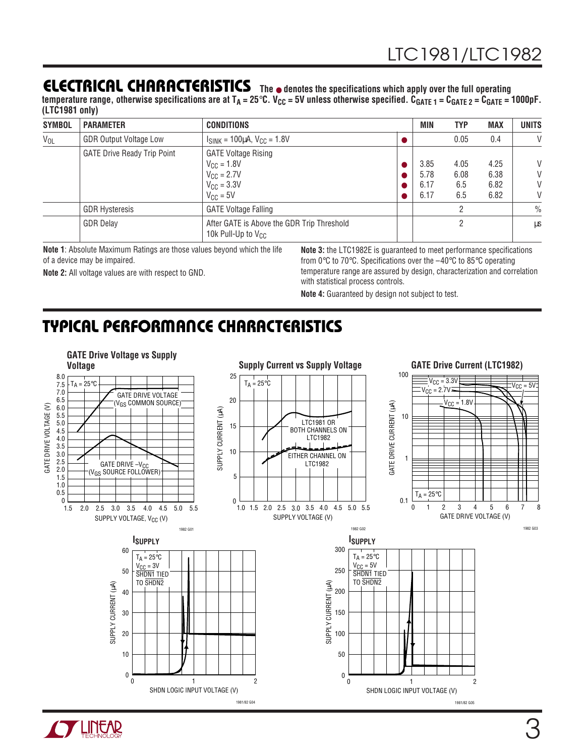### **ELECTRICAL CHARACTERISTICS The** ● **denotes the specifications which apply over the full operating**

temperature range, otherwise specifications are at T<sub>A</sub> = 25°C. V<sub>CC</sub> = 5V unless otherwise specified. C<sub>GATE 1</sub> = C<sub>GATE 2</sub> = C<sub>GATE</sub> = 1000pF. **(LTC1981 only)**

| <b>SYMBOL</b> | <b>PARAMETER</b>                   | <b>CONDITIONS</b>                                                                                               | <b>MIN</b>                   | <b>TYP</b>                 | <b>MAX</b>                   | <b>UNITS</b>     |
|---------------|------------------------------------|-----------------------------------------------------------------------------------------------------------------|------------------------------|----------------------------|------------------------------|------------------|
| $V_{OL}$      | <b>GDR Output Voltage Low</b>      | $I_{SINK} = 100 \mu A$ , $V_{CG} = 1.8 V$                                                                       |                              | 0.05                       | 0.4                          | V                |
|               | <b>GATE Drive Ready Trip Point</b> | <b>GATE Voltage Rising</b><br>$V_{CC} = 1.8V$<br>$V_{\rm CC}$ = 2.7V<br>$V_{\text{CC}} = 3.3V$<br>$V_{CC} = 5V$ | 3.85<br>5.78<br>6.17<br>6.17 | 4.05<br>6.08<br>6.5<br>6.5 | 4.25<br>6.38<br>6.82<br>6.82 | V<br>V<br>V<br>V |
|               | <b>GDR Hysteresis</b>              | <b>GATE Voltage Falling</b>                                                                                     |                              | ŋ                          |                              | $\frac{0}{0}$    |
|               | <b>GDR Delay</b>                   | After GATE is Above the GDR Trip Threshold<br>10k Pull-Up to $V_{CC}$                                           |                              | ヮ                          |                              | μS               |

**Note 1**: Absolute Maximum Ratings are those values beyond which the life of a device may be impaired.

**Note 2:** All voltage values are with respect to GND.

**Note 3:** the LTC1982E is guaranteed to meet performance specifications from 0°C to 70°C. Specifications over the –40°C to 85°C operating temperature range are assured by design, characterization and correlation with statistical process controls.

**Note 4:** Guaranteed by design not subject to test.

# **TYPICAL PERFORMANCE CHARACTERISTICS**



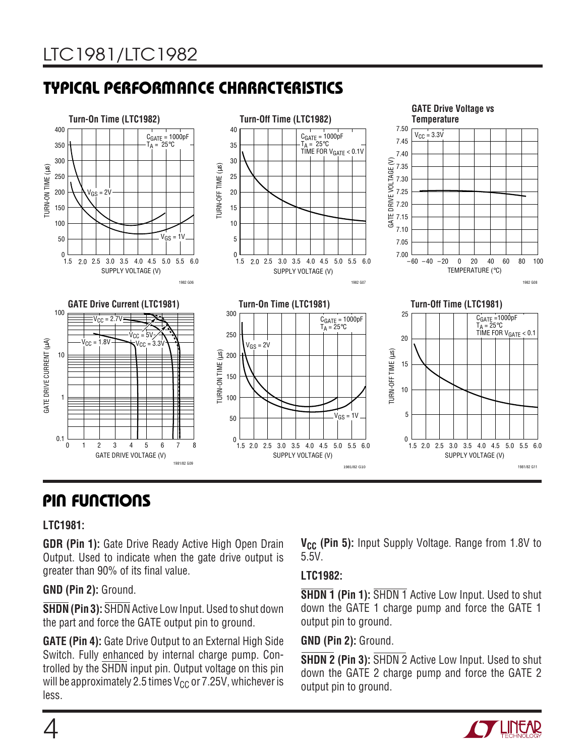# **TYPICAL PERFORMANCE CHARACTERISTICS**



# **PIN FUNCTIONS U UU**

#### **LTC1981:**

**GDR (Pin 1):** Gate Drive Ready Active High Open Drain Output. Used to indicate when the gate drive output is greater than 90% of its final value.

#### **GND (Pin 2):** Ground.

**SHDN (Pin 3):** SHDN Active Low Input. Used to shut down the part and force the GATE output pin to ground.

**GATE (Pin 4):** Gate Drive Output to an External High Side Switch. Fully enhanced by internal charge pump. Controlled by the SHDN input pin. Output voltage on this pin will be approximately 2.5 times  $V_{CC}$  or 7.25V, whichever is less.

**V<sub>CC</sub>** (Pin 5): Input Supply Voltage. Range from 1.8V to 5.5V.

### **LTC1982:**

**SHDN 1 (Pin 1):** SHDN 1 Active Low Input. Used to shut down the GATE 1 charge pump and force the GATE 1 output pin to ground.

**GND (Pin 2):** Ground.

**SHDN 2 (Pin 3):** SHDN 2 Active Low Input. Used to shut down the GATE 2 charge pump and force the GATE 2 output pin to ground.

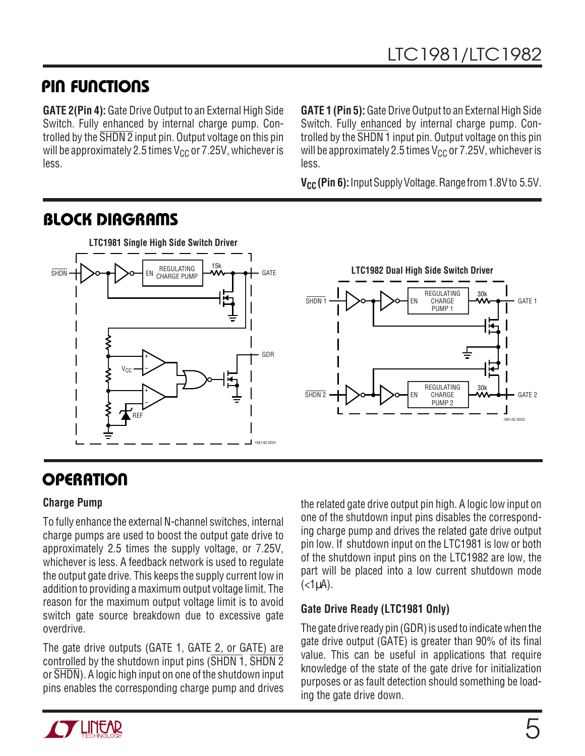# **PIN FUNCTIONS**

**GATE 2(Pin 4):** Gate Drive Output to an External High Side Switch. Fully enhanced by internal charge pump. Controlled by the SHDN 2 input pin. Output voltage on this pin will be approximately 2.5 times  $V_{CC}$  or 7.25V, whichever is less.

**GATE 1 (Pin 5):** Gate Drive Output to an External High Side Switch. Fully enhanced by internal charge pump. Controlled by the SHDN 1 input pin. Output voltage on this pin will be approximately 2.5 times  $V_{CC}$  or 7.25V, whichever is less.

**V<sub>CC</sub>** (Pin 6): Input Supply Voltage. Range from 1.8V to 5.5V.



# **BLOCK DIAGRAMS**

# **OPERATION**

### **Charge Pump**

To fully enhance the external N-channel switches, internal charge pumps are used to boost the output gate drive to approximately 2.5 times the supply voltage, or 7.25V, whichever is less. A feedback network is used to regulate the output gate drive. This keeps the supply current low in addition to providing a maximum output voltage limit. The reason for the maximum output voltage limit is to avoid switch gate source breakdown due to excessive gate overdrive.

The gate drive outputs (GATE 1, GATE 2, or GATE) are controlled by the shutdown input pins (SHDN 1, SHDN 2) or  $\overline{\text{SHDN}}$ ). A logic high input on one of the shutdown input pins enables the corresponding charge pump and drives

the related gate drive output pin high. A logic low input on one of the shutdown input pins disables the corresponding charge pump and drives the related gate drive output pin low. If shutdown input on the LTC1981 is low or both of the shutdown input pins on the LTC1982 are low, the part will be placed into a low current shutdown mode  $(<1<sub>µ</sub>A)$ .

### **Gate Drive Ready (LTC1981 Only)**

The gate drive ready pin (GDR) is used to indicate when the gate drive output (GATE) is greater than 90% of its final value. This can be useful in applications that require knowledge of the state of the gate drive for initialization purposes or as fault detection should something be loading the gate drive down.

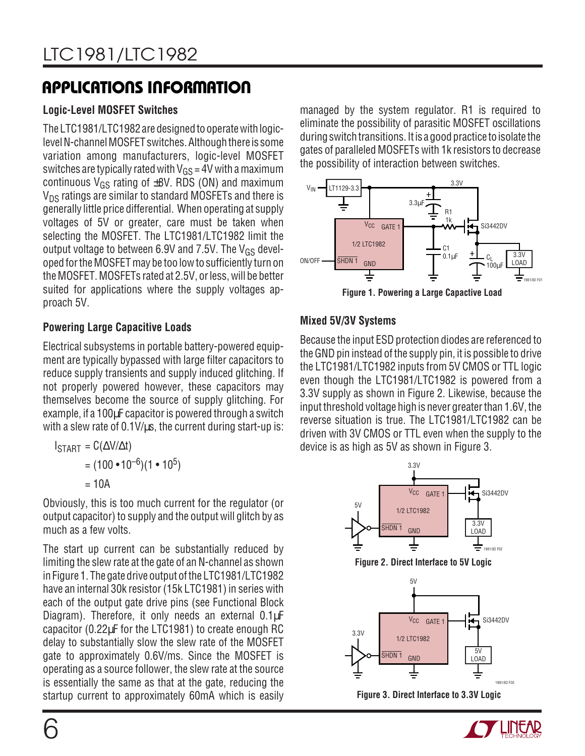# **APPLICATIONS INFORMATION U W U U**

### **Logic-Level MOSFET Switches**

The LTC1981/LTC1982 are designed to operate with logiclevel N-channel MOSFET switches. Although there is some variation among manufacturers, logic-level MOSFET switches are typically rated with  $V_{GS}$  = 4V with a maximum continuous  $V_{GS}$  rating of  $\pm$ 8V. RDS (ON) and maximum  $V_{DS}$  ratings are similar to standard MOSFETs and there is generally little price differential. When operating at supply voltages of 5V or greater, care must be taken when selecting the MOSFET. The LTC1981/LTC1982 limit the output voltage to between 6.9V and 7.5V. The  $V_{GS}$  developed for the MOSFET may be too low to sufficiently turn on the MOSFET. MOSFETs rated at 2.5V, or less, will be better suited for applications where the supply voltages approach 5V.

### **Powering Large Capacitive Loads**

Electrical subsystems in portable battery-powered equipment are typically bypassed with large filter capacitors to reduce supply transients and supply induced glitching. If not properly powered however, these capacitors may themselves become the source of supply glitching. For example, if a 100µF capacitor is powered through a switch with a slew rate of 0.1V/us, the current during start-up is:

$$
I_{\text{STAT}} = C(\Delta V/\Delta t)
$$
  
= (100 • 10<sup>-6</sup>)(1 • 10<sup>5</sup>)  
= 10A

Obviously, this is too much current for the regulator (or output capacitor) to supply and the output will glitch by as much as a few volts.

The start up current can be substantially reduced by limiting the slew rate at the gate of an N-channel as shown in Figure 1. The gate drive output of the LTC1981/LTC1982 have an internal 30k resistor (15k LTC1981) in series with each of the output gate drive pins (see Functional Block Diagram). Therefore, it only needs an external 0.1µF capacitor (0.22µF for the LTC1981) to create enough RC delay to substantially slow the slew rate of the MOSFET gate to approximately 0.6V/ms. Since the MOSFET is operating as a source follower, the slew rate at the source is essentially the same as that at the gate, reducing the startup current to approximately 60mA which is easily

managed by the system regulator. R1 is required to eliminate the possibility of parasitic MOSFET oscillations during switch transitions. It is a good practice to isolate the gates of paralleled MOSFETs with 1k resistors to decrease the possibility of interaction between switches.



**Figure 1. Powering a Large Capactive Load**

### **Mixed 5V/3V Systems**

Because the input ESD protection diodes are referenced to the GND pin instead of the supply pin, it is possible to drive the LTC1981/LTC1982 inputs from 5V CMOS or TTL logic even though the LTC1981/LTC1982 is powered from a 3.3V supply as shown in Figure 2. Likewise, because the input threshold voltage high is never greater than 1.6V, the reverse situation is true. The LTC1981/LTC1982 can be driven with 3V CMOS or TTL even when the supply to the device is as high as 5V as shown in Figure 3.



**Figure 3. Direct Interface to 3.3V Logic**



1981/82 F03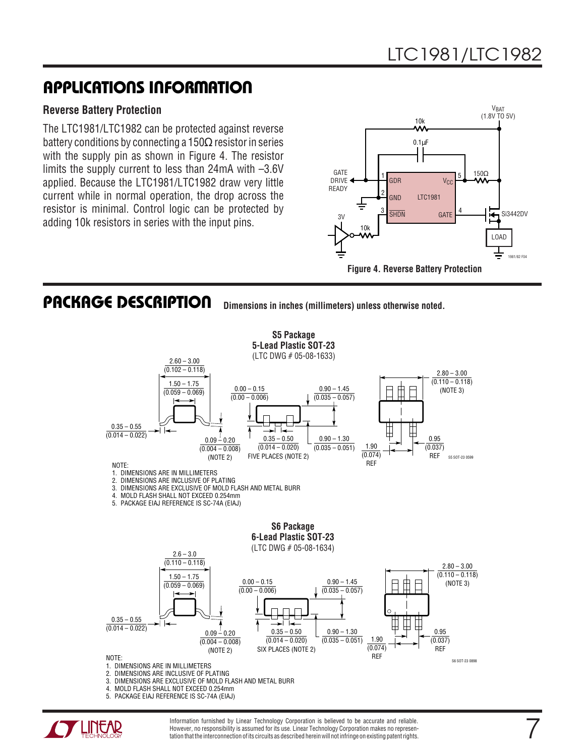### **APPLICATIONS INFORMATION U W U U**

#### **Reverse Battery Protection**

The LTC1981/LTC1982 can be protected against reverse battery conditions by connecting a 150 $\Omega$  resistor in series with the supply pin as shown in Figure 4. The resistor limits the supply current to less than 24mA with –3.6V applied. Because the LTC1981/LTC1982 draw very little current while in normal operation, the drop across the resistor is minimal. Control logic can be protected by adding 10k resistors in series with the input pins.



### **PACKAGE DESCRIPTION**

**Dimensions in inches (millimeters) unless otherwise noted.**





Information furnished by Linear Technology Corporation is believed to be accurate and reliable. However, no responsibility is assumed for its use. Linear Technology Corporation makes no representation that the interconnection of its circuits as described herein will not infringe on existing patent rights.